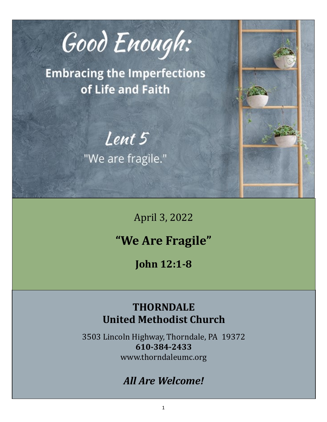

**Embracing the Imperfections** of Life and Faith

Lent 5

"We are fragile."

April 3, 2022

# **"We Are Fragile"**

**John 12:1-8**

## **THORNDALE United Methodist Church**

3503 Lincoln Highway, Thorndale, PA 19372 **610-384-2433** www.thorndaleumc.org

## *All Are Welcome!*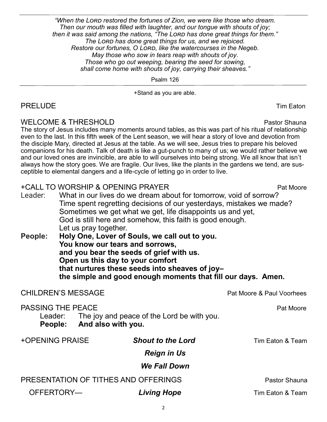*"When the Lord restored the fortunes of Zion, we were like those who dream. Then our mouth was filled with laughter, and our tongue with shouts of joy; then it was said among the nations, "The Lord has done great things for them." The Lord has done great things for us, and we rejoiced. Restore our fortunes, O Lord, like the watercourses in the Negeb. May those who sow in tears reap with shouts of joy. Those who go out weeping, bearing the seed for sowing, shall come home with shouts of joy, carrying their sheaves."*

Psalm 126

+Stand as you are able.

## PRELUDE Tim Eaton

## WELCOME & THRESHOLD **Pastor Shauna**

The story of Jesus includes many moments around tables, as this was part of his ritual of relationship even to the last. In this fifth week of the Lent season, we will hear a story of love and devotion from the disciple Mary, directed at Jesus at the table. As we will see, Jesus tries to prepare his beloved companions for his death. Talk of death is like a gut-punch to many of us; we would rather believe we and our loved ones are invincible, are able to will ourselves into being strong. We all know that isn't always how the story goes. We are fragile. Our lives, like the plants in the gardens we tend, are susceptible to elemental dangers and a life-cycle of letting go in order to live.

## +CALL TO WORSHIP & OPENING PRAYER Pat Moore

- Leader: What in our lives do we dream about for tomorrow, void of sorrow? Time spent regretting decisions of our yesterdays, mistakes we made? Sometimes we get what we get, life disappoints us and yet, God is still here and somehow, this faith is good enough. Let us pray together.
- **People: Holy One, Lover of Souls, we call out to you. You know our tears and sorrows, and you bear the seeds of grief with us. Open us this day to your comfort that nurtures these seeds into sheaves of joy– the simple and good enough moments that fill our days. Amen.**

## CHILDREN'S MESSAGE **Pat Moore & Paul Voorhees** PASSING THE PEACE **PASSING** THE PEACE **PASSING** THE PEACE Leader: The joy and peace of the Lord be with you. **People: And also with you.** +OPENING PRAISE *Shout to the Lord* Tim Eaton & Team *Reign in Us We Fall Down* PRESENTATION OF TITHES AND OFFERINGS **PRESENTATION** OF TITHES AND OFFERINGS OFFERTORY— **Living Hope** Tim Eaton & Team